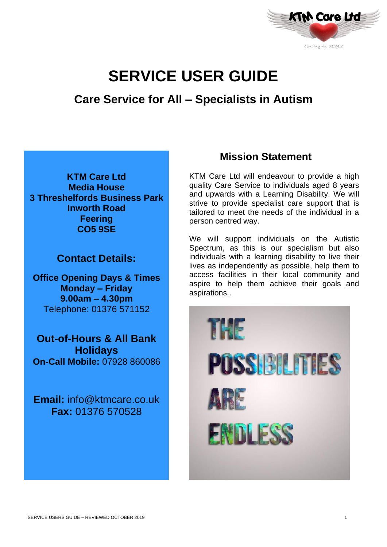

# **SERVICE USER GUIDE**

# **Care Service for All – Specialists in Autism**

**KTM Care Ltd Media House 3 Threshelfords Business Park Inworth Road Feering CO5 9SE**

**Contact Details:**

**Office Opening Days & Times Monday – Friday 9.00am – 4.30pm** Telephone: 01376 571152

**Out-of-Hours & All Bank Holidays On-Call Mobile:** 07928 860086

**Email:** info@ktmcare.co.uk **Fax:** 01376 570528

# **Mission Statement**

KTM Care Ltd will endeavour to provide a high quality Care Service to individuals aged 8 years and upwards with a Learning Disability. We will strive to provide specialist care support that is tailored to meet the needs of the individual in a person centred way.

We will support individuals on the Autistic Spectrum, as this is our specialism but also individuals with a learning disability to live their lives as independently as possible, help them to access facilities in their local community and aspire to help them achieve their goals and aspirations..

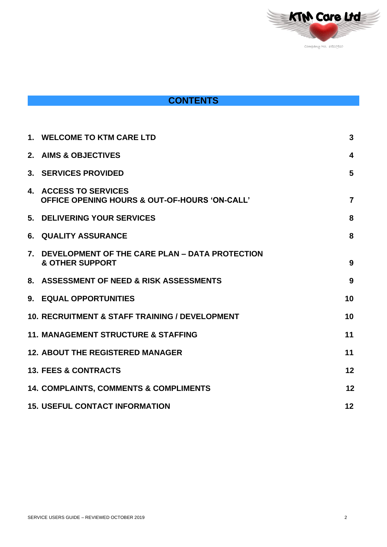

# **CONTENTS**

|                | 1. WELCOME TO KTM CARE LTD                                                        | 3              |
|----------------|-----------------------------------------------------------------------------------|----------------|
|                | 2. AIMS & OBJECTIVES                                                              | 4              |
|                | 3. SERVICES PROVIDED                                                              | 5              |
|                | 4. ACCESS TO SERVICES<br><b>OFFICE OPENING HOURS &amp; OUT-OF-HOURS 'ON-CALL'</b> | $\overline{7}$ |
|                | 5. DELIVERING YOUR SERVICES                                                       | 8              |
| 6.             | <b>QUALITY ASSURANCE</b>                                                          | 8              |
| 7 <sub>1</sub> | DEVELOPMENT OF THE CARE PLAN - DATA PROTECTION<br><b>&amp; OTHER SUPPORT</b>      | 9              |
|                | 8. ASSESSMENT OF NEED & RISK ASSESSMENTS                                          | 9              |
|                | 9. EQUAL OPPORTUNITIES                                                            | 10             |
|                | <b>10. RECRUITMENT &amp; STAFF TRAINING / DEVELOPMENT</b>                         | 10             |
|                | <b>11. MANAGEMENT STRUCTURE &amp; STAFFING</b>                                    | 11             |
|                | <b>12. ABOUT THE REGISTERED MANAGER</b>                                           | 11             |
|                | <b>13. FEES &amp; CONTRACTS</b>                                                   | 12             |
|                | <b>14. COMPLAINTS, COMMENTS &amp; COMPLIMENTS</b>                                 | 12             |
|                | <b>15. USEFUL CONTACT INFORMATION</b>                                             | 12             |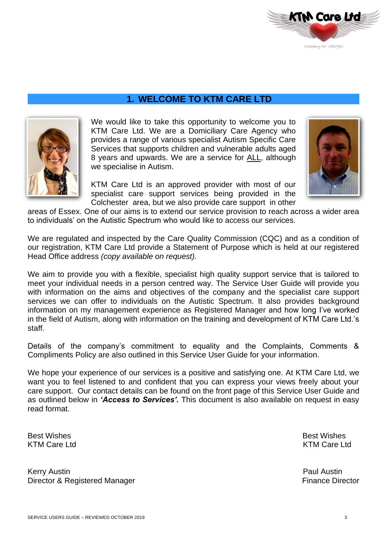

### **1. WELCOME TO KTM CARE LTD**



We would like to take this opportunity to welcome you to KTM Care Ltd. We are a Domiciliary Care Agency who provides a range of various specialist Autism Specific Care Services that supports children and vulnerable adults aged 8 years and upwards. We are a service for ALL, although we specialise in Autism.

KTM Care Ltd is an approved provider with most of our specialist care support services being provided in the Colchester area, but we also provide care support in other



areas of Essex. One of our aims is to extend our service provision to reach across a wider area to individuals' on the Autistic Spectrum who would like to access our services.

We are regulated and inspected by the Care Quality Commission (CQC) and as a condition of our registration, KTM Care Ltd provide a Statement of Purpose which is held at our registered Head Office address *(copy available on request).*

We aim to provide you with a flexible, specialist high quality support service that is tailored to meet your individual needs in a person centred way. The Service User Guide will provide you with information on the aims and objectives of the company and the specialist care support services we can offer to individuals on the Autistic Spectrum. It also provides background information on my management experience as Registered Manager and how long I've worked in the field of Autism, along with information on the training and development of KTM Care Ltd.'s staff.

Details of the company's commitment to equality and the Complaints, Comments & Compliments Policy are also outlined in this Service User Guide for your information.

We hope your experience of our services is a positive and satisfying one. At KTM Care Ltd, we want you to feel listened to and confident that you can express your views freely about your care support. Our contact details can be found on the front page of this Service User Guide and as outlined below in *'Access to Services'.* This document is also available on request in easy read format.

KTM Care Ltd

Kerry Austin **Paul Austin** Paul Austin **Paul Austin** Director & Registered Manager **Finance Director** Finance Director

Best Wishes Best Wishes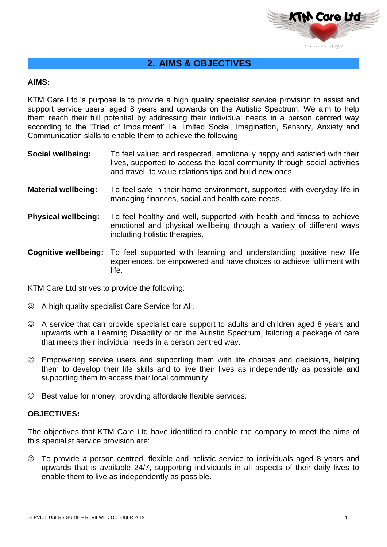

### **2. AIMS & OBJECTIVES**

### **AIMS:**

KTM Care Ltd.'s purpose is to provide a high quality specialist service provision to assist and support service users' aged 8 years and upwards on the Autistic Spectrum. We aim to help them reach their full potential by addressing their individual needs in a person centred way according to the 'Triad of Impairment' i.e. limited Social, Imagination, Sensory, Anxiety and Communication skills to enable them to achieve the following:

- **Social wellbeing:** To feel valued and respected, emotionally happy and satisfied with their lives, supported to access the local community through social activities and travel, to value relationships and build new ones.
- **Material wellbeing:** To feel safe in their home environment, supported with everyday life in managing finances, social and health care needs.
- **Physical wellbeing:** To feel healthy and well, supported with health and fitness to achieve emotional and physical wellbeing through a variety of different ways including holistic therapies.
- **Cognitive wellbeing:** To feel supported with learning and understanding positive new life experiences, be empowered and have choices to achieve fulfilment with life.

KTM Care Ltd strives to provide the following:

- ☺ A high quality specialist Care Service for All.
- ☺ A service that can provide specialist care support to adults and children aged 8 years and upwards with a Learning Disability or on the Autistic Spectrum, tailoring a package of care that meets their individual needs in a person centred way.
- ☺ Empowering service users and supporting them with life choices and decisions, helping them to develop their life skills and to live their lives as independently as possible and supporting them to access their local community.
- ☺ Best value for money, providing affordable flexible services.

### **OBJECTIVES:**

The objectives that KTM Care Ltd have identified to enable the company to meet the aims of this specialist service provision are:

☺ To provide a person centred, flexible and holistic service to individuals aged 8 years and upwards that is available 24/7, supporting individuals in all aspects of their daily lives to enable them to live as independently as possible.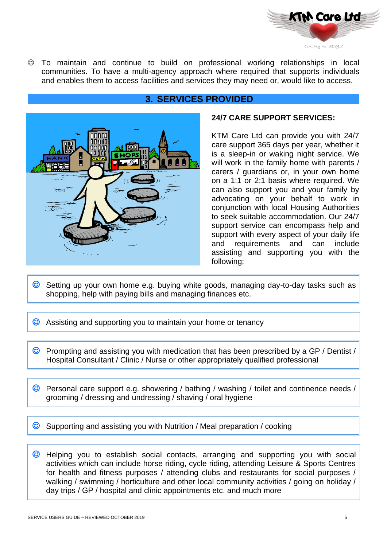

☺ To maintain and continue to build on professional working relationships in local communities. To have a multi-agency approach where required that supports individuals and enables them to access facilities and services they may need or, would like to access.



### **3. SERVICES PROVIDED**

### **24/7 CARE SUPPORT SERVICES:**

KTM Care Ltd can provide you with 24/7 care support 365 days per year, whether it is a sleep-in or waking night service. We will work in the family home with parents / carers / guardians or, in your own home on a 1:1 or 2:1 basis where required. We can also support you and your family by advocating on your behalf to work in conjunction with local Housing Authorities to seek suitable accommodation. Our 24/7 support service can encompass help and support with every aspect of your daily life and requirements and can include assisting and supporting you with the following:

- **C** Setting up your own home e.g. buying white goods, managing day-to-day tasks such as shopping, help with paying bills and managing finances etc.
- ☺ Assisting and supporting you to maintain your home or tenancy
- ☺ Prompting and assisting you with medication that has been prescribed by a GP / Dentist / Hospital Consultant / Clinic / Nurse or other appropriately qualified professional
- © Personal care support e.g. showering / bathing / washing / toilet and continence needs / grooming / dressing and undressing / shaving / oral hygiene
- **C** Supporting and assisting you with Nutrition / Meal preparation / cooking
- ☺ Helping you to establish social contacts, arranging and supporting you with social activities which can include horse riding, cycle riding, attending Leisure & Sports Centres for health and fitness purposes / attending clubs and restaurants for social purposes / walking / swimming / horticulture and other local community activities / going on holiday / day trips / GP / hospital and clinic appointments etc. and much more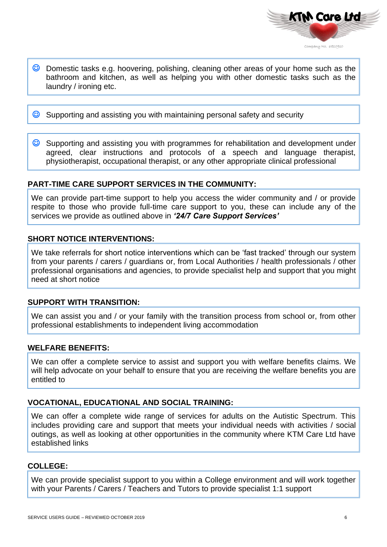

**C** Domestic tasks e.g. hoovering, polishing, cleaning other areas of your home such as the bathroom and kitchen, as well as helping you with other domestic tasks such as the laundry / ironing etc.

**C** Supporting and assisting you with maintaining personal safety and security

**C** Supporting and assisting you with programmes for rehabilitation and development under agreed, clear instructions and protocols of a speech and language therapist, physiotherapist, occupational therapist, or any other appropriate clinical professional

### **PART-TIME CARE SUPPORT SERVICES IN THE COMMUNITY:**

We can provide part-time support to help you access the wider community and / or provide respite to those who provide full-time care support to you, these can include any of the services we provide as outlined above in *'24/7 Care Support Services'*

### **SHORT NOTICE INTERVENTIONS:**

We take referrals for short notice interventions which can be 'fast tracked' through our system from your parents / carers / guardians or, from Local Authorities / health professionals / other professional organisations and agencies, to provide specialist help and support that you might need at short notice

### **SUPPORT WITH TRANSITION:**

We can assist you and / or your family with the transition process from school or, from other professional establishments to independent living accommodation

### **WELFARE BENEFITS:**

We can offer a complete service to assist and support you with welfare benefits claims. We will help advocate on your behalf to ensure that you are receiving the welfare benefits you are entitled to

### **VOCATIONAL, EDUCATIONAL AND SOCIAL TRAINING:**

We can offer a complete wide range of services for adults on the Autistic Spectrum. This includes providing care and support that meets your individual needs with activities / social outings, as well as looking at other opportunities in the community where KTM Care Ltd have established links

### **COLLEGE:**

We can provide specialist support to you within a College environment and will work together with your Parents / Carers / Teachers and Tutors to provide specialist 1:1 support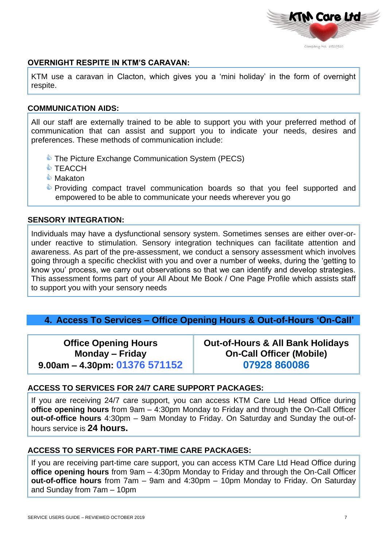

### **OVERNIGHT RESPITE IN KTM'S CARAVAN:**

KTM use a caravan in Clacton, which gives you a 'mini holiday' in the form of overnight respite.

### **COMMUNICATION AIDS:**

All our staff are externally trained to be able to support you with your preferred method of communication that can assist and support you to indicate your needs, desires and preferences. These methods of communication include:

- **The Picture Exchange Communication System (PECS)**
- **TEACCH**
- ♦ Makaton
- **Providing compact travel communication boards so that you feel supported and** empowered to be able to communicate your needs wherever you go

### **SENSORY INTEGRATION:**

Individuals may have a dysfunctional sensory system. Sometimes senses are either over-orunder reactive to stimulation. Sensory integration techniques can facilitate attention and awareness. As part of the pre-assessment, we conduct a sensory assessment which involves going through a specific checklist with you and over a number of weeks, during the 'getting to know you' process, we carry out observations so that we can identify and develop strategies. This assessment forms part of your All About Me Book / One Page Profile which assists staff to support you with your sensory needs

### **4. Access To Services – Office Opening Hours & Out-of-Hours 'On-Call'**

**Office Opening Hours Monday – Friday 9.00am – 4.30pm: 01376 571152** **Out-of-Hours & All Bank Holidays On-Call Officer (Mobile) 07928 860086**

### **ACCESS TO SERVICES FOR 24/7 CARE SUPPORT PACKAGES:**

If you are receiving 24/7 care support, you can access KTM Care Ltd Head Office during **office opening hours** from 9am – 4:30pm Monday to Friday and through the On-Call Officer **out-of-office hours** 4:30pm – 9am Monday to Friday. On Saturday and Sunday the out-ofhours service is **24 hours.**

### **ACCESS TO SERVICES FOR PART-TIME CARE PACKAGES:**

If you are receiving part-time care support, you can access KTM Care Ltd Head Office during **office opening hours** from 9am – 4:30pm Monday to Friday and through the On-Call Officer **out-of-office hours** from 7am – 9am and 4:30pm – 10pm Monday to Friday. On Saturday and Sunday from 7am – 10pm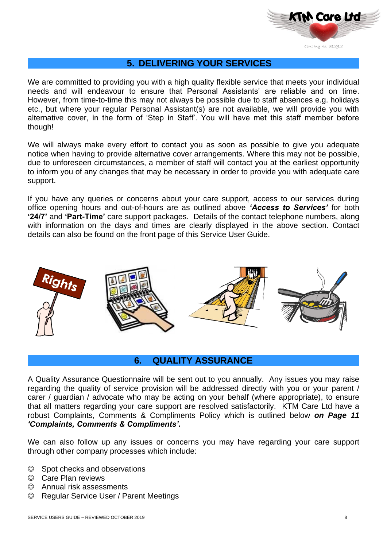

### **5. DELIVERING YOUR SERVICES**

We are committed to providing you with a high quality flexible service that meets your individual needs and will endeavour to ensure that Personal Assistants' are reliable and on time. However, from time-to-time this may not always be possible due to staff absences e.g. holidays etc., but where your regular Personal Assistant(s) are not available, we will provide you with alternative cover, in the form of 'Step in Staff'. You will have met this staff member before though!

We will always make every effort to contact you as soon as possible to give you adequate notice when having to provide alternative cover arrangements. Where this may not be possible, due to unforeseen circumstances, a member of staff will contact you at the earliest opportunity to inform you of any changes that may be necessary in order to provide you with adequate care support.

If you have any queries or concerns about your care support, access to our services during office opening hours and out-of-hours are as outlined above *'Access to Services'* for both **'24/7'** and **'Part-Time'** care support packages. Details of the contact telephone numbers, along with information on the days and times are clearly displayed in the above section. Contact details can also be found on the front page of this Service User Guide.



### **6. QUALITY ASSURANCE**

A Quality Assurance Questionnaire will be sent out to you annually. Any issues you may raise regarding the quality of service provision will be addressed directly with you or your parent / carer / guardian / advocate who may be acting on your behalf (where appropriate), to ensure that all matters regarding your care support are resolved satisfactorily. KTM Care Ltd have a robust Complaints, Comments & Compliments Policy which is outlined below *on Page 11 'Complaints, Comments & Compliments'.*

We can also follow up any issues or concerns you may have regarding your care support through other company processes which include:

- ☺ Spot checks and observations
- ☺ Care Plan reviews
- ☺ Annual risk assessments
- ☺ Regular Service User / Parent Meetings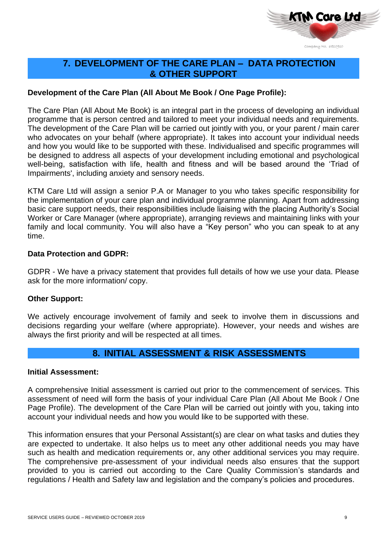

### **7. DEVELOPMENT OF THE CARE PLAN – DATA PROTECTION & OTHER SUPPORT**

### **Development of the Care Plan (All About Me Book / One Page Profile):**

The Care Plan (All About Me Book) is an integral part in the process of developing an individual programme that is person centred and tailored to meet your individual needs and requirements. The development of the Care Plan will be carried out jointly with you, or your parent / main carer who advocates on your behalf (where appropriate). It takes into account your individual needs and how you would like to be supported with these. Individualised and specific programmes will be designed to address all aspects of your development including emotional and psychological well-being, satisfaction with life, health and fitness and will be based around the 'Triad of Impairments', including anxiety and sensory needs.

KTM Care Ltd will assign a senior P.A or Manager to you who takes specific responsibility for the implementation of your care plan and individual programme planning. Apart from addressing basic care support needs, their responsibilities include liaising with the placing Authority's Social Worker or Care Manager (where appropriate), arranging reviews and maintaining links with your family and local community. You will also have a "Key person" who you can speak to at any time.

### **Data Protection and GDPR:**

GDPR - We have a privacy statement that provides full details of how we use your data. Please ask for the more information/ copy.

### **Other Support:**

We actively encourage involvement of family and seek to involve them in discussions and decisions regarding your welfare (where appropriate). However, your needs and wishes are always the first priority and will be respected at all times.

### **8. INITIAL ASSESSMENT & RISK ASSESSMENTS**

### **Initial Assessment:**

A comprehensive Initial assessment is carried out prior to the commencement of services. This assessment of need will form the basis of your individual Care Plan (All About Me Book / One Page Profile). The development of the Care Plan will be carried out jointly with you, taking into account your individual needs and how you would like to be supported with these.

This information ensures that your Personal Assistant(s) are clear on what tasks and duties they are expected to undertake. It also helps us to meet any other additional needs you may have such as health and medication requirements or, any other additional services you may require. The comprehensive pre-assessment of your individual needs also ensures that the support provided to you is carried out according to the Care Quality Commission's standards and regulations / Health and Safety law and legislation and the company's policies and procedures.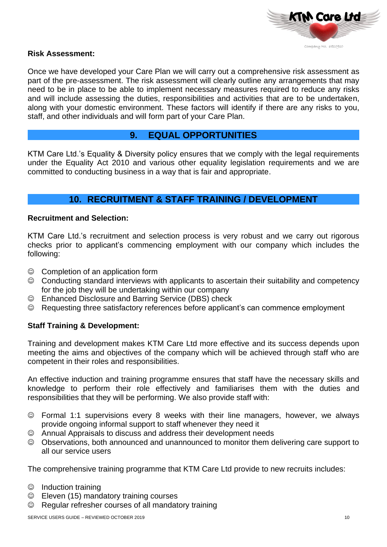

#### **Risk Assessment:**

Once we have developed your Care Plan we will carry out a comprehensive risk assessment as part of the pre-assessment. The risk assessment will clearly outline any arrangements that may need to be in place to be able to implement necessary measures required to reduce any risks and will include assessing the duties, responsibilities and activities that are to be undertaken, along with your domestic environment. These factors will identify if there are any risks to you, staff, and other individuals and will form part of your Care Plan.

### **9. EQUAL OPPORTUNITIES**

KTM Care Ltd.'s Equality & Diversity policy ensures that we comply with the legal requirements under the Equality Act 2010 and various other equality legislation requirements and we are committed to conducting business in a way that is fair and appropriate.

### **10. RECRUITMENT & STAFF TRAINING / DEVELOPMENT**

### **Recruitment and Selection:**

KTM Care Ltd.'s recruitment and selection process is very robust and we carry out rigorous checks prior to applicant's commencing employment with our company which includes the following:

- ☺ Completion of an application form
- ☺ Conducting standard interviews with applicants to ascertain their suitability and competency for the job they will be undertaking within our company
- ☺ Enhanced Disclosure and Barring Service (DBS) check
- ☺ Requesting three satisfactory references before applicant's can commence employment

### **Staff Training & Development:**

Training and development makes KTM Care Ltd more effective and its success depends upon meeting the aims and objectives of the company which will be achieved through staff who are competent in their roles and responsibilities.

An effective induction and training programme ensures that staff have the necessary skills and knowledge to perform their role effectively and familiarises them with the duties and responsibilities that they will be performing. We also provide staff with:

- ☺ Formal 1:1 supervisions every 8 weeks with their line managers, however, we always provide ongoing informal support to staff whenever they need it
- ☺ Annual Appraisals to discuss and address their development needs
- ☺ Observations, both announced and unannounced to monitor them delivering care support to all our service users

The comprehensive training programme that KTM Care Ltd provide to new recruits includes:

- ☺ Induction training
- ☺ Eleven (15) mandatory training courses
- ☺ Regular refresher courses of all mandatory training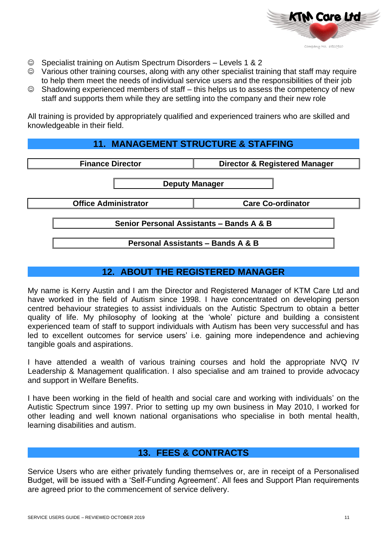

- ☺ Specialist training on Autism Spectrum Disorders Levels 1 & 2
- ☺ Various other training courses, along with any other specialist training that staff may require to help them meet the needs of individual service users and the responsibilities of their job
- ☺ Shadowing experienced members of staff this helps us to assess the competency of new staff and supports them while they are settling into the company and their new role

All training is provided by appropriately qualified and experienced trainers who are skilled and knowledgeable in their field.

### **11. MANAGEMENT STRUCTURE & STAFFING**

| <b>Finance Director</b>                                                                  | <b>Director &amp; Registered Manager</b> |  |  |  |  |
|------------------------------------------------------------------------------------------|------------------------------------------|--|--|--|--|
| <b>Deputy Manager</b>                                                                    |                                          |  |  |  |  |
| <b>Office Administrator</b>                                                              | <b>Care Co-ordinator</b>                 |  |  |  |  |
| Senior Personal Assistants - Bands A & B<br><b>Personal Assistants - Bands A &amp; B</b> |                                          |  |  |  |  |

### **12. ABOUT THE REGISTERED MANAGER**

My name is Kerry Austin and I am the Director and Registered Manager of KTM Care Ltd and have worked in the field of Autism since 1998. I have concentrated on developing person centred behaviour strategies to assist individuals on the Autistic Spectrum to obtain a better quality of life. My philosophy of looking at the 'whole' picture and building a consistent experienced team of staff to support individuals with Autism has been very successful and has led to excellent outcomes for service users' i.e. gaining more independence and achieving tangible goals and aspirations.

I have attended a wealth of various training courses and hold the appropriate NVQ IV Leadership & Management qualification. I also specialise and am trained to provide advocacy and support in Welfare Benefits.

I have been working in the field of health and social care and working with individuals' on the Autistic Spectrum since 1997. Prior to setting up my own business in May 2010, I worked for other leading and well known national organisations who specialise in both mental health, learning disabilities and autism.

### **13. FEES & CONTRACTS**

Service Users who are either privately funding themselves or, are in receipt of a Personalised Budget, will be issued with a 'Self-Funding Agreement'. All fees and Support Plan requirements are agreed prior to the commencement of service delivery.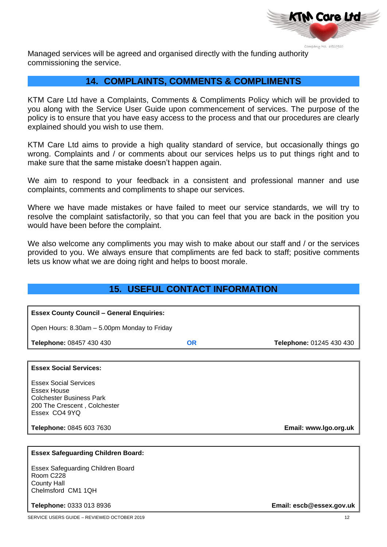

Managed services will be agreed and organised directly with the funding authority commissioning the service.

### **14. COMPLAINTS, COMMENTS & COMPLIMENTS**

KTM Care Ltd have a Complaints, Comments & Compliments Policy which will be provided to you along with the Service User Guide upon commencement of services. The purpose of the policy is to ensure that you have easy access to the process and that our procedures are clearly explained should you wish to use them.

KTM Care Ltd aims to provide a high quality standard of service, but occasionally things go wrong. Complaints and / or comments about our services helps us to put things right and to make sure that the same mistake doesn't happen again.

We aim to respond to your feedback in a consistent and professional manner and use complaints, comments and compliments to shape our services.

Where we have made mistakes or have failed to meet our service standards, we will try to resolve the complaint satisfactorily, so that you can feel that you are back in the position you would have been before the complaint.

We also welcome any compliments you may wish to make about our staff and / or the services provided to you. We always ensure that compliments are fed back to staff; positive comments lets us know what we are doing right and helps to boost morale.

# **15. USEFUL CONTACT INFORMATION**

| <b>Essex County Council - General Enquiries:</b> |           |                          |  |  |  |  |
|--------------------------------------------------|-----------|--------------------------|--|--|--|--|
|                                                  |           |                          |  |  |  |  |
| Open Hours: 8.30am - 5.00pm Monday to Friday     |           |                          |  |  |  |  |
| Telephone: 08457 430 430                         | <b>OR</b> | Telephone: 01245 430 430 |  |  |  |  |
|                                                  |           |                          |  |  |  |  |
| <b>Essex Social Services:</b>                    |           |                          |  |  |  |  |
| <b>Essex Social Services</b>                     |           |                          |  |  |  |  |
| <b>Essex House</b>                               |           |                          |  |  |  |  |
| <b>Colchester Business Park</b>                  |           |                          |  |  |  |  |
| 200 The Crescent, Colchester                     |           |                          |  |  |  |  |
| Essex CO4 9YQ                                    |           |                          |  |  |  |  |
| Telephone: 0845 603 7630                         |           | Email: www.lgo.org.uk    |  |  |  |  |
|                                                  |           |                          |  |  |  |  |
| <b>Essex Safeguarding Children Board:</b>        |           |                          |  |  |  |  |
| Essex Safeguarding Children Board                |           |                          |  |  |  |  |
| Room C228                                        |           |                          |  |  |  |  |
| <b>County Hall</b>                               |           |                          |  |  |  |  |
| Chelmsford CM1 1QH                               |           |                          |  |  |  |  |
| Telephone: 0333 013 8936                         |           | Email: escb@essex.gov.uk |  |  |  |  |
|                                                  |           |                          |  |  |  |  |